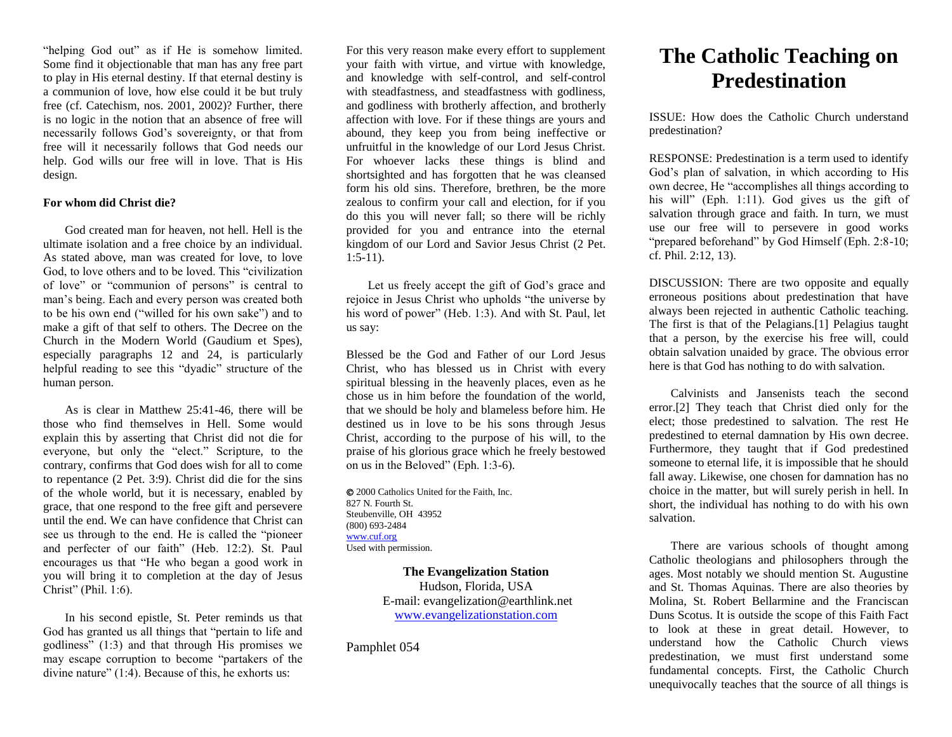"helping God out" as if He is somehow limited. Some find it objectionable that man has any free part to play in His eternal destiny. If that eternal destiny is a communion of love, how else could it be but truly free (cf. Catechism, nos. 2001, 2002)? Further, there is no logic in the notion that an absence of free will necessarily follows God's sovereignty, or that from free will it necessarily follows that God needs our help. God wills our free will in love. That is His design.

### **For whom did Christ die?**

God created man for heaven, not hell. Hell is the ultimate isolation and a free choice by an individual. As stated above, man was created for love, to love God, to love others and to be loved. This "civilization of love" or "communion of persons" is central to man's being. Each and every person was created both to be his own end ("willed for his own sake") and to make a gift of that self to others. The Decree on the Church in the Modern World (Gaudium et Spes), especially paragraphs 12 and 24, is particularly helpful reading to see this "dyadic" structure of the human person.

As is clear in Matthew 25:41-46, there will be those who find themselves in Hell. Some would explain this by asserting that Christ did not die for everyone, but only the "elect." Scripture, to the contrary, confirms that God does wish for all to come to repentance (2 Pet. 3:9). Christ did die for the sins of the whole world, but it is necessary, enabled by grace, that one respond to the free gift and persevere until the end. We can have confidence that Christ can see us through to the end. He is called the "pioneer and perfecter of our faith" (Heb. 12:2). St. Paul encourages us that "He who began a good work in you will bring it to completion at the day of Jesus Christ" (Phil. 1:6).

In his second epistle, St. Peter reminds us that God has granted us all things that "pertain to life and godliness" (1:3) and that through His promises we may escape corruption to become "partakers of the divine nature" (1:4). Because of this, he exhorts us:

For this very reason make every effort to supplement your faith with virtue, and virtue with knowledge, and knowledge with self-control, and self-control with steadfastness, and steadfastness with godliness, and godliness with brotherly affection, and brotherly affection with love. For if these things are yours and abound, they keep you from being ineffective or unfruitful in the knowledge of our Lord Jesus Christ. For whoever lacks these things is blind and shortsighted and has forgotten that he was cleansed form his old sins. Therefore, brethren, be the more zealous to confirm your call and election, for if you do this you will never fall; so there will be richly provided for you and entrance into the eternal kingdom of our Lord and Savior Jesus Christ (2 Pet.  $1:5-11$ ).

Let us freely accept the gift of God's grace and rejoice in Jesus Christ who upholds "the universe by his word of power" (Heb. 1:3). And with St. Paul, let us say:

Blessed be the God and Father of our Lord Jesus Christ, who has blessed us in Christ with every spiritual blessing in the heavenly places, even as he chose us in him before the foundation of the world, that we should be holy and blameless before him. He destined us in love to be his sons through Jesus Christ, according to the purpose of his will, to the praise of his glorious grace which he freely bestowed on us in the Beloved" (Eph. 1:3-6).

 2000 Catholics United for the Faith, Inc. 827 N. Fourth St. Steubenville, OH 43952 (800) 693-2484 [www.cuf.org](http://www.cuf.org/) Used with permission.

> **The Evangelization Station** Hudson, Florida, USA E-mail: evangelization@earthlink.net [www.evangelizationstation.com](http://www.pjpiisoe.org/)

Pamphlet 054

# **The Catholic Teaching on Predestination**

ISSUE: How does the Catholic Church understand predestination?

RESPONSE: Predestination is a term used to identify God's plan of salvation, in which according to His own decree, He "accomplishes all things according to his will" (Eph. 1:11). God gives us the gift of salvation through grace and faith. In turn, we must use our free will to persevere in good works "prepared beforehand" by God Himself (Eph. 2:8-10; cf. Phil. 2:12, 13).

DISCUSSION: There are two opposite and equally erroneous positions about predestination that have always been rejected in authentic Catholic teaching. The first is that of the Pelagians.[1] Pelagius taught that a person, by the exercise his free will, could obtain salvation unaided by grace. The obvious error here is that God has nothing to do with salvation.

Calvinists and Jansenists teach the second error.[2] They teach that Christ died only for the elect; those predestined to salvation. The rest He predestined to eternal damnation by His own decree. Furthermore, they taught that if God predestined someone to eternal life, it is impossible that he should fall away. Likewise, one chosen for damnation has no choice in the matter, but will surely perish in hell. In short, the individual has nothing to do with his own salvation.

There are various schools of thought among Catholic theologians and philosophers through the ages. Most notably we should mention St. Augustine and St. Thomas Aquinas. There are also theories by Molina, St. Robert Bellarmine and the Franciscan Duns Scotus. It is outside the scope of this Faith Fact to look at these in great detail. However, to understand how the Catholic Church views predestination, we must first understand some fundamental concepts. First, the Catholic Church unequivocally teaches that the source of all things is